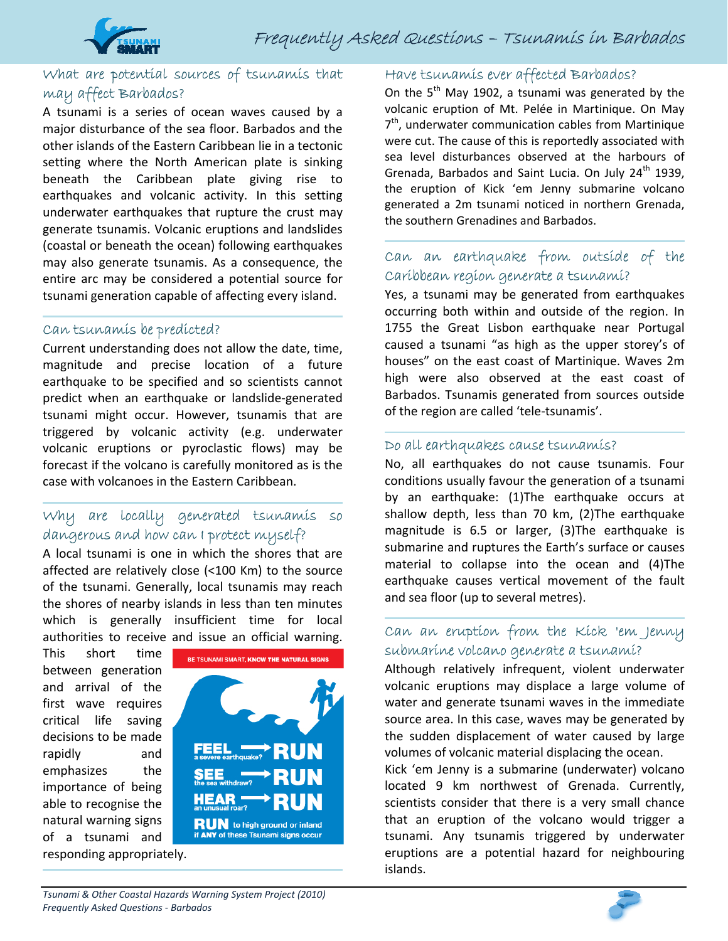

## What are potential sources of tsunamis that may affect Barbados?

A tsunami is a series of ocean waves caused by a major disturbance of the sea floor. Barbados and the other islands of the Eastern Caribbean lie in a tectonic setting where the North American plate is sinking beneath the Caribbean plate giving rise to earthquakes and volcanic activity. In this setting underwater earthquakes that rupture the crust may generate tsunamis. Volcanic eruptions and landslides (coastal or beneath the ocean) following earthquakes may also generate tsunamis. As a consequence, the entire arc may be considered a potential source for tsunami generation capable of affecting every island.

#### Can tsunamis be predicted?

Current understanding does not allow the date, time, magnitude and precise location of a future earthquake to be specified and so scientists cannot predict when an earthquake or landslide‐generated tsunami might occur. However, tsunamis that are triggered by volcanic activity (e.g. underwater volcanic eruptions or pyroclastic flows) may be forecast if the volcano is carefully monitored as is the case with volcanoes in the Eastern Caribbean.

### Why are locally generated tsunamis so dangerous and how can I protect myself?

A local tsunami is one in which the shores that are affected are relatively close (<100 Km) to the source of the tsunami. Generally, local tsunamis may reach the shores of nearby islands in less than ten minutes which is generally insufficient time for local authorities to receive and issue an official warning.

This short time between generation and arrival of the first wave requires critical life saving decisions to be made rapidly and emphasizes the importance of being able to recognise the natural warning signs of a tsunami and responding appropriately.



### Have tsunamis ever affected Barbados?

On the  $5<sup>th</sup>$  May 1902, a tsunami was generated by the volcanic eruption of Mt. Pelée in Martinique. On May  $7<sup>th</sup>$ , underwater communication cables from Martinique were cut. The cause of this is reportedly associated with sea level disturbances observed at the harbours of Grenada, Barbados and Saint Lucia. On July  $24<sup>th</sup>$  1939, the eruption of Kick 'em Jenny submarine volcano generated a 2m tsunami noticed in northern Grenada, the southern Grenadines and Barbados.

### Can an earthquake from outside of the Caribbean region generate a tsunami?

Yes, a tsunami may be generated from earthquakes occurring both within and outside of the region. In 1755 the Great Lisbon earthquake near Portugal caused a tsunami "as high as the upper storey's of houses" on the east coast of Martinique. Waves 2m high were also observed at the east coast of Barbados. Tsunamis generated from sources outside of the region are called 'tele‐tsunamis'.

#### Do all earthquakes cause tsunamis?

No, all earthquakes do not cause tsunamis. Four conditions usually favour the generation of a tsunami by an earthquake: (1)The earthquake occurs at shallow depth, less than 70 km, (2)The earthquake magnitude is 6.5 or larger, (3)The earthquake is submarine and ruptures the Earth's surface or causes material to collapse into the ocean and (4)The earthquake causes vertical movement of the fault and sea floor (up to several metres).

### Can an eruption from the Kick 'em Jenny submarine volcano generate a tsunami?

Although relatively infrequent, violent underwater volcanic eruptions may displace a large volume of water and generate tsunami waves in the immediate source area. In this case, waves may be generated by the sudden displacement of water caused by large volumes of volcanic material displacing the ocean.

Kick 'em Jenny is a submarine (underwater) volcano located 9 km northwest of Grenada. Currently, scientists consider that there is a very small chance that an eruption of the volcano would trigger a tsunami. Any tsunamis triggered by underwater eruptions are a potential hazard for neighbouring islands.